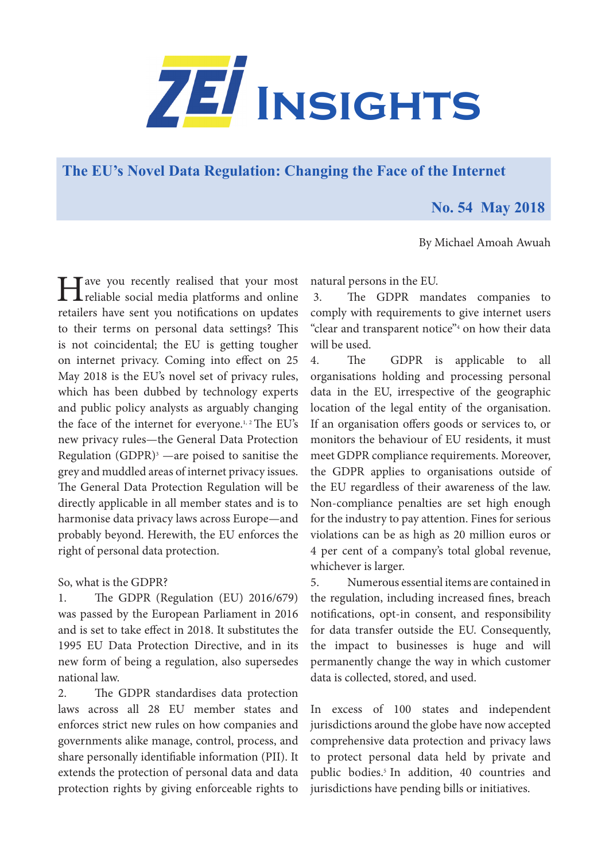

**[The EU's Novel Data Regulation: Changing the Face of the Internet](https://www.zei.uni-bonn.de/publications/zei-insights)** 

## **No. 54 May 2018**

By Michael Amoah Awuah

I ave you recently realised that your most<br>reliable social media platforms and online retailers have sent you notifications on updates to their terms on personal data settings? This is not coincidental; the EU is getting tougher on internet privacy. Coming into effect on 25 May 2018 is the EU's novel set of privacy rules, which has been dubbed by technology experts and public policy analysts as arguably changing the face of the internet for everyone.<sup>1, 2</sup> The EU's new privacy rules—the General Data Protection Regulation (GDPR)3 —are poised to sanitise the grey and muddled areas of internet privacy issues. The General Data Protection Regulation will be directly applicable in all member states and is to harmonise data privacy laws across Europe—and probably beyond. Herewith, the EU enforces the right of personal data protection.

So, what is the GDPR?

1. The GDPR (Regulation (EU) 2016/679) was passed by the European Parliament in 2016 and is set to take effect in 2018. It substitutes the 1995 EU Data Protection Directive, and in its new form of being a regulation, also supersedes national law.

2. The GDPR standardises data protection laws across all 28 EU member states and enforces strict new rules on how companies and governments alike manage, control, process, and share personally identifiable information (PII). It extends the protection of personal data and data protection rights by giving enforceable rights to

natural persons in the EU.

 3. The GDPR mandates companies to comply with requirements to give internet users "clear and transparent notice"4 on how their data will be used.

4. The GDPR is applicable to all organisations holding and processing personal data in the EU, irrespective of the geographic location of the legal entity of the organisation. If an organisation offers goods or services to, or monitors the behaviour of EU residents, it must meet GDPR compliance requirements. Moreover, the GDPR applies to organisations outside of the EU regardless of their awareness of the law. Non-compliance penalties are set high enough for the industry to pay attention. Fines for serious violations can be as high as 20 million euros or 4 per cent of a company's total global revenue, whichever is larger.

5. Numerous essential items are contained in the regulation, including increased fines, breach notifications, opt-in consent, and responsibility for data transfer outside the EU. Consequently, the impact to businesses is huge and will permanently change the way in which customer data is collected, stored, and used.

In excess of 100 states and independent jurisdictions around the globe have now accepted comprehensive data protection and privacy laws to protect personal data held by private and public bodies.<sup>5</sup> In addition, 40 countries and jurisdictions have pending bills or initiatives.